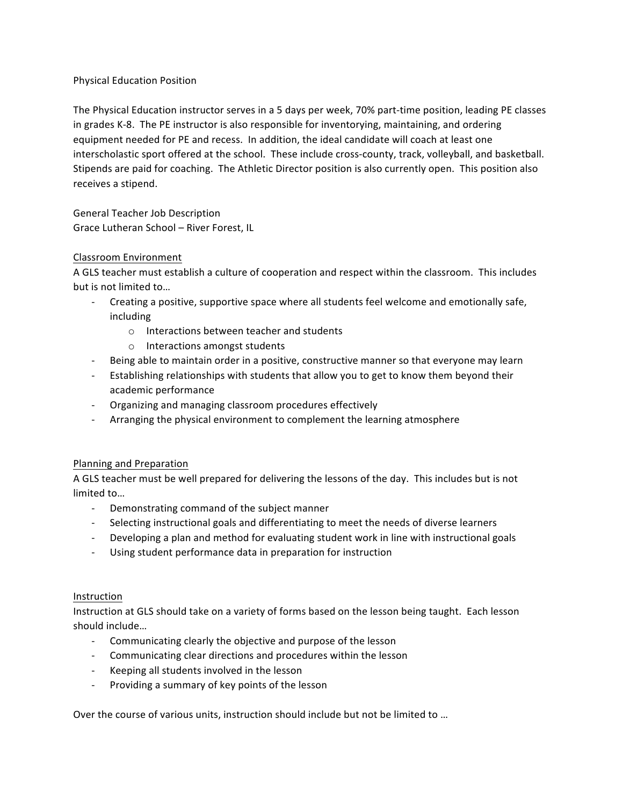## Physical Education Position

The Physical Education instructor serves in a 5 days per week, 70% part-time position, leading PE classes in grades K-8. The PE instructor is also responsible for inventorying, maintaining, and ordering equipment needed for PE and recess. In addition, the ideal candidate will coach at least one interscholastic sport offered at the school. These include cross-county, track, volleyball, and basketball. Stipends are paid for coaching. The Athletic Director position is also currently open. This position also receives a stipend.

General Teacher Job Description Grace Lutheran School - River Forest, IL

# Classroom Environment

A GLS teacher must establish a culture of cooperation and respect within the classroom. This includes but is not limited to...

- Creating a positive, supportive space where all students feel welcome and emotionally safe, including
	- $\circ$  Interactions between teacher and students
	- $\circ$  Interactions amongst students
- Being able to maintain order in a positive, constructive manner so that everyone may learn
- Establishing relationships with students that allow you to get to know them beyond their academic performance
- Organizing and managing classroom procedures effectively
- Arranging the physical environment to complement the learning atmosphere

## Planning and Preparation

A GLS teacher must be well prepared for delivering the lessons of the day. This includes but is not limited to...

- Demonstrating command of the subject manner
- Selecting instructional goals and differentiating to meet the needs of diverse learners
- Developing a plan and method for evaluating student work in line with instructional goals
- Using student performance data in preparation for instruction

## Instruction

Instruction at GLS should take on a variety of forms based on the lesson being taught. Each lesson should include...

- Communicating clearly the objective and purpose of the lesson
- Communicating clear directions and procedures within the lesson
- Keeping all students involved in the lesson
- Providing a summary of key points of the lesson

Over the course of various units, instruction should include but not be limited to ...